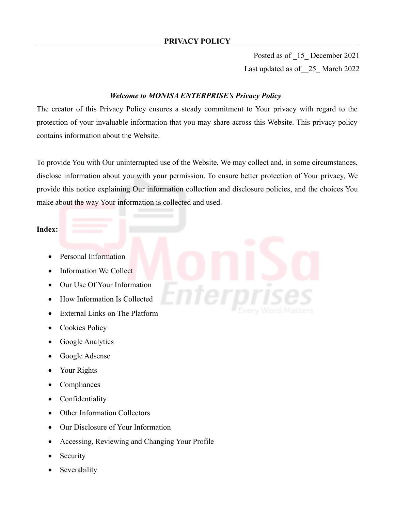Posted as of \_15\_ December 2021 Last updated as of\_\_25\_ March 2022

# *Welcome to MONISA ENTERPRISE's Privacy Policy*

The creator of this Privacy Policy ensures a steady commitment to Your privacy with regard to the protection of your invaluable information that you may share across this Website. This privacy policy contains information about the Website.

To provide You with Our uninterrupted use of the Website, We may collect and, in some circumstances, disclose information about you with your permission. To ensure better protection of Your privacy, We provide this notice explaining Our information collection and disclosure policies, and the choices You make about the way Your information is collected and used.

# **Index:**

- Personal Information
- Information We Collect
- Our Use Of Your Information
- How Information Is Collected
- External Links on The Platform
- Cookies Policy
- Google Analytics
- Google Adsense
- Your Rights
- Compliances
- Confidentiality
- Other Information Collectors
- Our Disclosure of Your Information
- Accessing, Reviewing and Changing Your Profile
- Security
- Severability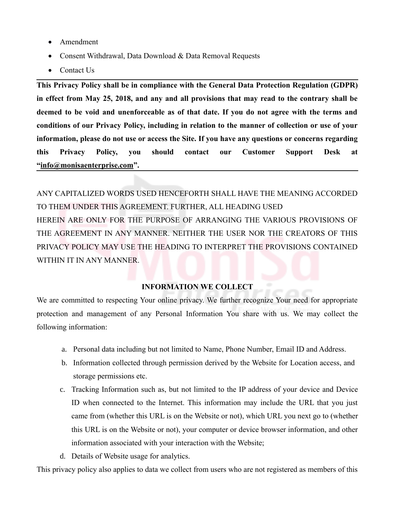- Amendment
- Consent Withdrawal, Data Download & Data Removal Requests
- Contact Us

**This Privacy Policy shall be in compliance with the General Data Protection Regulation (GDPR) in effect from May 25, 2018, and any and all provisions that may read to the contrary shall be deemed to be void and unenforceable as of that date. If you do not agree with the terms and conditions of our Privacy Policy, including in relation to the manner of collection or use of your information, please do not use or access the Site. If you have any questions or concerns regarding this Privacy Policy, you should contact our Customer Support Desk at "info@monisaenterprise.com".**

ANY CAPITALIZED WORDS USED HENCEFORTH SHALL HAVE THE MEANING ACCORDED TO THEM UNDER THIS AGREEMENT. FURTHER, ALL HEADING USED HEREIN ARE ONLY FOR THE PURPOSE OF ARRANGING THE VARIOUS PROVISIONS OF THE AGREEMENT IN ANY MANNER. NEITHER THE USER NOR THE CREATORS OF THIS PRIVACY POLICY MAY USE THE HEADING TO INTERPRET THE PROVISIONS CONTAINED WITHIN IT IN ANY MANNER.

# **INFORMATION WE COLLECT**

We are committed to respecting Your online privacy. We further recognize Your need for appropriate protection and management of any Personal Information You share with us. We may collect the following information:

- a. Personal data including but not limited to Name, Phone Number, Email ID and Address.
- b. Information collected through permission derived by the Website for Location access, and storage permissions etc.
- c. Tracking Information such as, but not limited to the IP address of your device and Device ID when connected to the Internet. This information may include the URL that you just came from (whether this URL is on the Website or not), which URL you next go to (whether this URL is on the Website or not), your computer or device browser information, and other information associated with your interaction with the Website;
- d. Details of Website usage for analytics.

This privacy policy also applies to data we collect from users who are not registered as members of this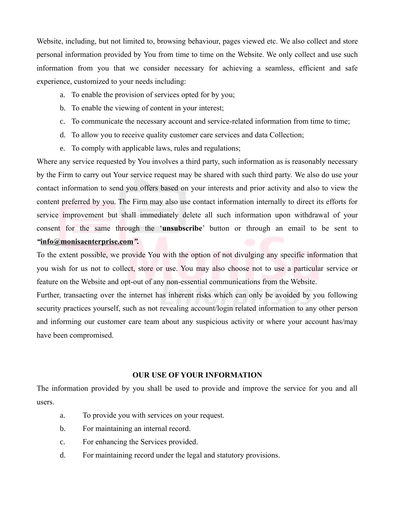Website, including, but not limited to, browsing behaviour, pages viewed etc. We also collect and store personal information provided by You from time to time on the Website. We only collect and use such information from you that we consider necessary for achieving a seamless, efficient and safe experience, customized to your needs including:

- a. To enable the provision of services opted for by you;
- b. To enable the viewing of content in your interest;
- c. To communicate the necessary account and service-related information from time to time;
- d. To allow you to receive quality customer care services and data Collection;
- e. To comply with applicable laws, rules and regulations;

Where any service requested by You involves a third party, such information as is reasonably necessary by the Firm to carry out Your service request may be shared with such third party. We also do use your contact information to send you offers based on your interests and prior activity and also to view the content preferred by you. The Firm may also use contact information internally to direct its efforts for service improvement but shall immediately delete all such information upon withdrawal of your consent for the same through the '**unsubscribe**' button or through an email to be sent to *"***info@monisaenterprise.com***".*

To the extent possible, we provide You with the option of not divulging any specific information that you wish for us not to collect, store or use. You may also choose not to use a particular service or feature on the Website and opt-out of any non-essential communications from the Website.

Further, transacting over the internet has inherent risks which can only be avoided by you following security practices yourself, such as not revealing account/login related information to any other person and informing our customer care team about any suspicious activity or where your account has/may have been compromised.

## **OUR USE OF YOUR INFORMATION**

The information provided by you shall be used to provide and improve the service for you and all users.

- a. To provide you with services on your request.
- b. For maintaining an internal record.
- c. For enhancing the Services provided.
- d. For maintaining record under the legal and statutory provisions.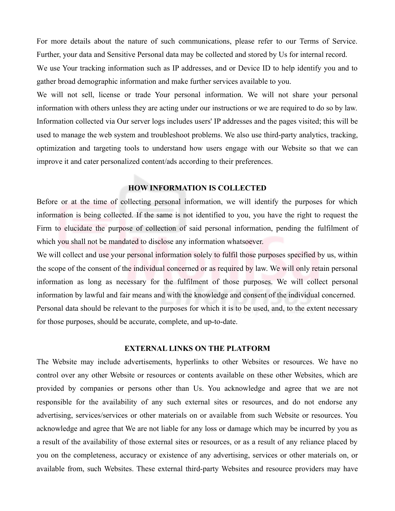For more details about the nature of such communications, please refer to our Terms of Service. Further, your data and Sensitive Personal data may be collected and stored by Us for internal record.

We use Your tracking information such as IP addresses, and or Device ID to help identify you and to gather broad demographic information and make further services available to you.

We will not sell, license or trade Your personal information. We will not share your personal information with others unless they are acting under our instructions or we are required to do so by law. Information collected via Our server logs includes users' IP addresses and the pages visited; this will be used to manage the web system and troubleshoot problems. We also use third-party analytics, tracking, optimization and targeting tools to understand how users engage with our Website so that we can improve it and cater personalized content/ads according to their preferences.

# **HOW INFORMATION IS COLLECTED**

Before or at the time of collecting personal information, we will identify the purposes for which information is being collected. If the same is not identified to you, you have the right to request the Firm to elucidate the purpose of collection of said personal information, pending the fulfilment of which you shall not be mandated to disclose any information whatsoever.

We will collect and use your personal information solely to fulfil those purposes specified by us, within the scope of the consent of the individual concerned or as required by law. We will only retain personal information as long as necessary for the fulfilment of those purposes. We will collect personal information by lawful and fair means and with the knowledge and consent of the individual concerned. Personal data should be relevant to the purposes for which it is to be used, and, to the extent necessary for those purposes, should be accurate, complete, and up-to-date.

## **EXTERNAL LINKS ON THE PLATFORM**

The Website may include advertisements, hyperlinks to other Websites or resources. We have no control over any other Website or resources or contents available on these other Websites, which are provided by companies or persons other than Us. You acknowledge and agree that we are not responsible for the availability of any such external sites or resources, and do not endorse any advertising, services/services or other materials on or available from such Website or resources. You acknowledge and agree that We are not liable for any loss or damage which may be incurred by you as a result of the availability of those external sites or resources, or as a result of any reliance placed by you on the completeness, accuracy or existence of any advertising, services or other materials on, or available from, such Websites. These external third-party Websites and resource providers may have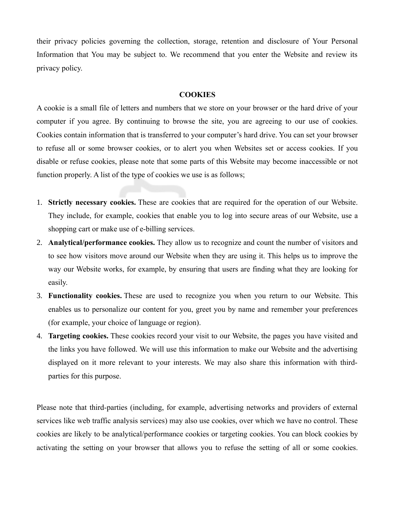their privacy policies governing the collection, storage, retention and disclosure of Your Personal Information that You may be subject to. We recommend that you enter the Website and review its privacy policy.

### **COOKIES**

A cookie is a small file of letters and numbers that we store on your browser or the hard drive of your computer if you agree. By continuing to browse the site, you are agreeing to our use of cookies. Cookies contain information that is transferred to your computer's hard drive. You can set your browser to refuse all or some browser cookies, or to alert you when Websites set or access cookies. If you disable or refuse cookies, please note that some parts of this Website may become inaccessible or not function properly. A list of the type of cookies we use is as follows;

- 1. **Strictly necessary cookies.** These are cookies that are required for the operation of our Website. They include, for example, cookies that enable you to log into secure areas of our Website, use a shopping cart or make use of e-billing services.
- 2. **Analytical/performance cookies.** They allow us to recognize and count the number of visitors and to see how visitors move around our Website when they are using it. This helps us to improve the way our Website works, for example, by ensuring that users are finding what they are looking for easily.
- 3. **Functionality cookies.** These are used to recognize you when you return to our Website. This enables us to personalize our content for you, greet you by name and remember your preferences (for example, your choice of language or region).
- 4. **Targeting cookies.** These cookies record your visit to our Website, the pages you have visited and the links you have followed. We will use this information to make our Website and the advertising displayed on it more relevant to your interests. We may also share this information with thirdparties for this purpose.

Please note that third-parties (including, for example, advertising networks and providers of external services like web traffic analysis services) may also use cookies, over which we have no control. These cookies are likely to be analytical/performance cookies or targeting cookies. You can block cookies by activating the setting on your browser that allows you to refuse the setting of all or some cookies.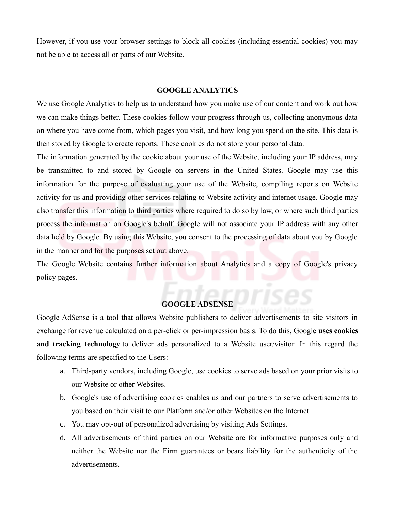However, if you use your browser settings to block all cookies (including essential cookies) you may not be able to access all or parts of our Website.

## **GOOGLE ANALYTICS**

We use Google Analytics to help us to understand how you make use of our content and work out how we can make things better. These cookies follow your progress through us, collecting anonymous data on where you have come from, which pages you visit, and how long you spend on the site. This data is then stored by Google to create reports. These cookies do not store your personal data.

The information generated by the cookie about your use of the Website, including your IP address, may be transmitted to and stored by Google on servers in the United States. Google may use this information for the purpose of evaluating your use of the Website, compiling reports on Website activity for us and providing other services relating to Website activity and internet usage. Google may also transfer this information to third parties where required to do so by law, or where such third parties process the information on Google's behalf. Google will not associate your IP address with any other data held by Google. By using this Website, you consent to the processing of data about you by Google in the manner and for the purposes set out above.

The Google Website contains further information about Analytics and a copy of Google's privacy policy pages.

#### **GOOGLE ADSENSE**

Google AdSense is a tool that allows Website publishers to deliver advertisements to site visitors in exchange for revenue calculated on a per-click or per-impression basis. To do this, Google **uses cookies and tracking technology** to deliver ads personalized to a Website user/visitor. In this regard the following terms are specified to the Users:

- a. Third-party vendors, including Google, use cookies to serve ads based on your prior visits to our Website or other Websites.
- b. Google's use of advertising cookies enables us and our partners to serve advertisements to you based on their visit to our Platform and/or other Websites on the Internet.
- c. You may opt-out of personalized advertising by visiting Ads Settings.
- d. All advertisements of third parties on our Website are for informative purposes only and neither the Website nor the Firm guarantees or bears liability for the authenticity of the advertisements.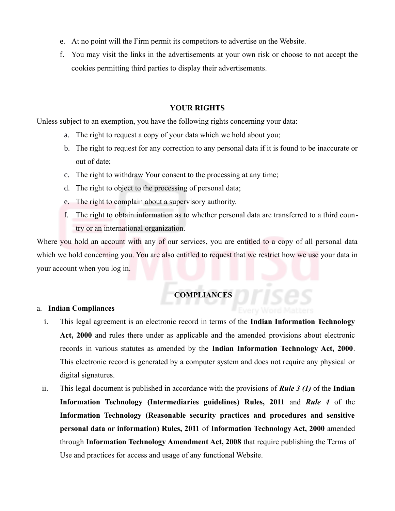- e. At no point will the Firm permit its competitors to advertise on the Website.
- f. You may visit the links in the advertisements at your own risk or choose to not accept the cookies permitting third parties to display their advertisements.

# **YOUR RIGHTS**

Unless subject to an exemption, you have the following rights concerning your data:

- a. The right to request a copy of your data which we hold about you;
- b. The right to request for any correction to any personal data if it is found to be inaccurate or out of date;
- c. The right to withdraw Your consent to the processing at any time;
- d. The right to object to the processing of personal data;
- e. The right to complain about a supervisory authority.
- f. The right to obtain information as to whether personal data are transferred to a third country or an international organization.

Where you hold an account with any of our services, you are entitled to a copy of all personal data which we hold concerning you. You are also entitled to request that we restrict how we use your data in your account when you log in.

# **COMPLIANCES**

## a. **Indian Compliances**

- i. This legal agreement is an electronic record in terms of the **Indian Information Technology Act, 2000** and rules there under as applicable and the amended provisions about electronic records in various statutes as amended by the **Indian Information Technology Act, 2000**. This electronic record is generated by a computer system and does not require any physical or digital signatures.
- ii. This legal document is published in accordance with the provisions of *Rule 3 (1)* of the **Indian Information Technology (Intermediaries guidelines) Rules, 2011** and *Rule 4* of the **Information Technology (Reasonable security practices and procedures and sensitive personal data or information) Rules, 2011** of **Information Technology Act, 2000** amended through **Information Technology Amendment Act, 2008** that require publishing the Terms of Use and practices for access and usage of any functional Website.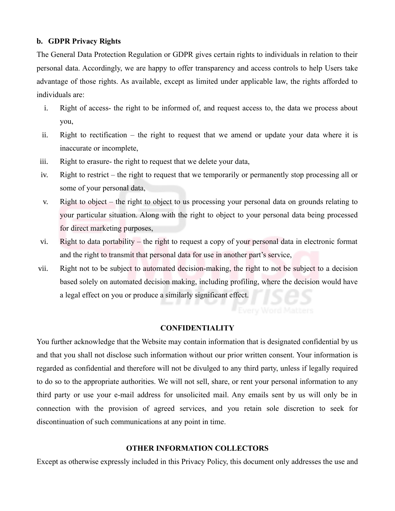## **b. GDPR Privacy Rights**

The General Data Protection Regulation or GDPR gives certain rights to individuals in relation to their personal data. Accordingly, we are happy to offer transparency and access controls to help Users take advantage of those rights. As available, except as limited under applicable law, the rights afforded to individuals are:

- i. Right of access- the right to be informed of, and request access to, the data we process about you,
- ii. Right to rectification the right to request that we amend or update your data where it is inaccurate or incomplete,
- iii. Right to erasure- the right to request that we delete your data,
- iv. Right to restrict the right to request that we temporarily or permanently stop processing all or some of your personal data,
- v. Right to object the right to object to us processing your personal data on grounds relating to your particular situation. Along with the right to object to your personal data being processed for direct marketing purposes,
- vi. Right to data portability the right to request a copy of your personal data in electronic format and the right to transmit that personal data for use in another part's service,
- vii. Right not to be subject to automated decision-making, the right to not be subject to a decision based solely on automated decision making, including profiling, where the decision would have a legal effect on you or produce a similarly significant effect.

## **CONFIDENTIALITY**

You further acknowledge that the Website may contain information that is designated confidential by us and that you shall not disclose such information without our prior written consent. Your information is regarded as confidential and therefore will not be divulged to any third party, unless if legally required to do so to the appropriate authorities. We will not sell, share, or rent your personal information to any third party or use your e-mail address for unsolicited mail. Any emails sent by us will only be in connection with the provision of agreed services, and you retain sole discretion to seek for discontinuation of such communications at any point in time.

# **OTHER INFORMATION COLLECTORS**

Except as otherwise expressly included in this Privacy Policy, this document only addresses the use and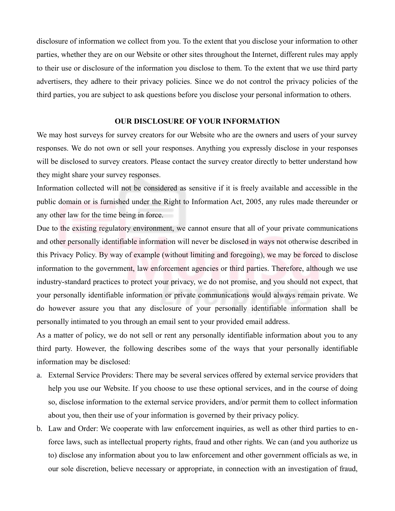disclosure of information we collect from you. To the extent that you disclose your information to other parties, whether they are on our Website or other sites throughout the Internet, different rules may apply to their use or disclosure of the information you disclose to them. To the extent that we use third party advertisers, they adhere to their privacy policies. Since we do not control the privacy policies of the third parties, you are subject to ask questions before you disclose your personal information to others.

#### **OUR DISCLOSURE OF YOUR INFORMATION**

We may host surveys for survey creators for our Website who are the owners and users of your survey responses. We do not own or sell your responses. Anything you expressly disclose in your responses will be disclosed to survey creators. Please contact the survey creator directly to better understand how they might share your survey responses.

Information collected will not be considered as sensitive if it is freely available and accessible in the public domain or is furnished under the Right to Information Act, 2005, any rules made thereunder or any other law for the time being in force.

Due to the existing regulatory environment, we cannot ensure that all of your private communications and other personally identifiable information will never be disclosed in ways not otherwise described in this Privacy Policy. By way of example (without limiting and foregoing), we may be forced to disclose information to the government, law enforcement agencies or third parties. Therefore, although we use industry-standard practices to protect your privacy, we do not promise, and you should not expect, that your personally identifiable information or private communications would always remain private. We do however assure you that any disclosure of your personally identifiable information shall be personally intimated to you through an email sent to your provided email address.

As a matter of policy, we do not sell or rent any personally identifiable information about you to any third party. However, the following describes some of the ways that your personally identifiable information may be disclosed:

- a. External Service Providers: There may be several services offered by external service providers that help you use our Website. If you choose to use these optional services, and in the course of doing so, disclose information to the external service providers, and/or permit them to collect information about you, then their use of your information is governed by their privacy policy.
- b. Law and Order: We cooperate with law enforcement inquiries, as well as other third parties to enforce laws, such as intellectual property rights, fraud and other rights. We can (and you authorize us to) disclose any information about you to law enforcement and other government officials as we, in our sole discretion, believe necessary or appropriate, in connection with an investigation of fraud,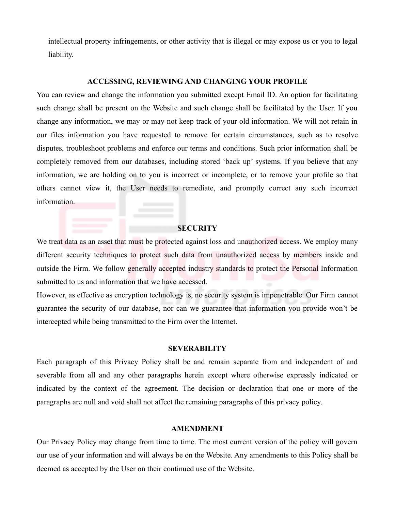intellectual property infringements, or other activity that is illegal or may expose us or you to legal liability.

#### **ACCESSING, REVIEWING AND CHANGING YOUR PROFILE**

You can review and change the information you submitted except Email ID. An option for facilitating such change shall be present on the Website and such change shall be facilitated by the User. If you change any information, we may or may not keep track of your old information. We will not retain in our files information you have requested to remove for certain circumstances, such as to resolve disputes, troubleshoot problems and enforce our terms and conditions. Such prior information shall be completely removed from our databases, including stored 'back up' systems. If you believe that any information, we are holding on to you is incorrect or incomplete, or to remove your profile so that others cannot view it, the User needs to remediate, and promptly correct any such incorrect information.

### **SECURITY**

We treat data as an asset that must be protected against loss and unauthorized access. We employ many different security techniques to protect such data from unauthorized access by members inside and outside the Firm. We follow generally accepted industry standards to protect the Personal Information submitted to us and information that we have accessed.

However, as effective as encryption technology is, no security system is impenetrable. Our Firm cannot guarantee the security of our database, nor can we guarantee that information you provide won't be intercepted while being transmitted to the Firm over the Internet.

#### **SEVERABILITY**

Each paragraph of this Privacy Policy shall be and remain separate from and independent of and severable from all and any other paragraphs herein except where otherwise expressly indicated or indicated by the context of the agreement. The decision or declaration that one or more of the paragraphs are null and void shall not affect the remaining paragraphs of this privacy policy.

#### **AMENDMENT**

Our Privacy Policy may change from time to time. The most current version of the policy will govern our use of your information and will always be on the Website. Any amendments to this Policy shall be deemed as accepted by the User on their continued use of the Website.